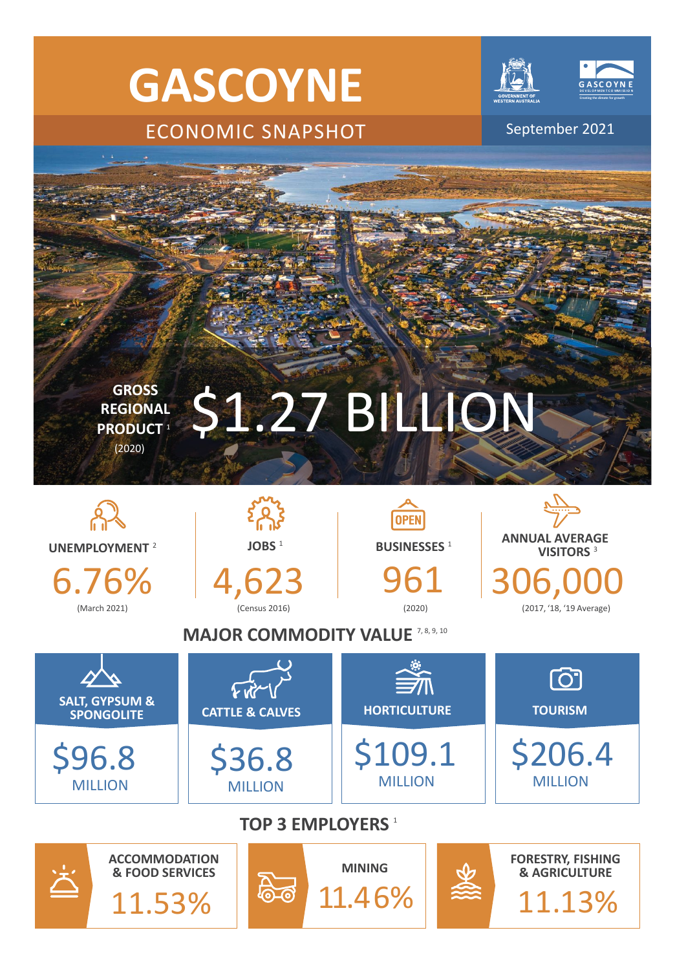



මැල

11.46%

11.13%

11.53%